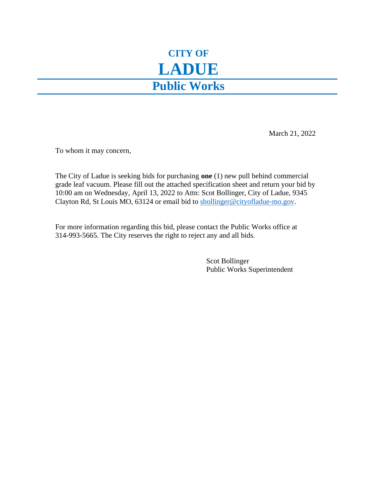## **CITY OF LADUE Public Works**

March 21, 2022

To whom it may concern,

The City of Ladue is seeking bids for purchasing **one** (1) new pull behind commercial grade leaf vacuum. Please fill out the attached specification sheet and return your bid by 10:00 am on Wednesday, April 13, 2022 to Attn: Scot Bollinger, City of Ladue, 9345 Clayton Rd, St Louis MO, 63124 or email bid to [sbollinger@cityofladue-mo.gov.](mailto:sbollinger@cityofladue-mo.gov)

For more information regarding this bid, please contact the Public Works office at 314-993-5665. The City reserves the right to reject any and all bids.

> Scot Bollinger Public Works Superintendent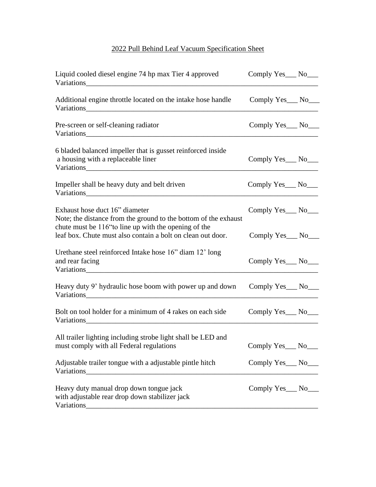## 2022 Pull Behind Leaf Vacuum Specification Sheet

| Liquid cooled diesel engine 74 hp max Tier 4 approved                                                                                                                                                                                                                                      | Comply $Yes$ No $\_\_$          |  |
|--------------------------------------------------------------------------------------------------------------------------------------------------------------------------------------------------------------------------------------------------------------------------------------------|---------------------------------|--|
| Additional engine throttle located on the intake hose handle                                                                                                                                                                                                                               | Comply Yes___ No___             |  |
| Pre-screen or self-cleaning radiator                                                                                                                                                                                                                                                       | Comply Yes___ No___             |  |
| 6 bladed balanced impeller that is gusset reinforced inside<br>a housing with a replaceable liner                                                                                                                                                                                          | Comply Yes___ No___             |  |
| Impeller shall be heavy duty and belt driven                                                                                                                                                                                                                                               | Comply Yes <sub>___</sub> No___ |  |
| Exhaust hose duct 16" diameter<br>Note; the distance from the ground to the bottom of the exhaust                                                                                                                                                                                          | Comply Yes___ No___             |  |
| chute must be 116" to line up with the opening of the<br>leaf box. Chute must also contain a bolt on clean out door.                                                                                                                                                                       | Comply Yes___ No___             |  |
| Urethane steel reinforced Intake hose 16" diam 12' long<br>and rear facing                                                                                                                                                                                                                 | Comply Yes___ No___             |  |
| Heavy duty 9' hydraulic hose boom with power up and down<br>Variations                                                                                                                                                                                                                     | Comply Yes <sub>___</sub> No___ |  |
| Bolt on tool holder for a minimum of 4 rakes on each side<br>Variations                                                                                                                                                                                                                    | Comply Yes <sub>___</sub> No___ |  |
| All trailer lighting including strobe light shall be LED and<br>must comply with all Federal regulations                                                                                                                                                                                   | Comply Yes_No__                 |  |
| Adjustable trailer tongue with a adjustable pintle hitch<br>Variations and the contract of the contract of the contract of the contract of the contract of the contract of the contract of the contract of the contract of the contract of the contract of the contract of the contract of | Comply Yes___ No___             |  |
| Heavy duty manual drop down tongue jack<br>with adjustable rear drop down stabilizer jack<br>Variations<br><u> 1989 - Johann Barn, amerikan besteman besteman besteman besteman besteman besteman besteman besteman besteman</u>                                                           | Comply Yes___ No___             |  |